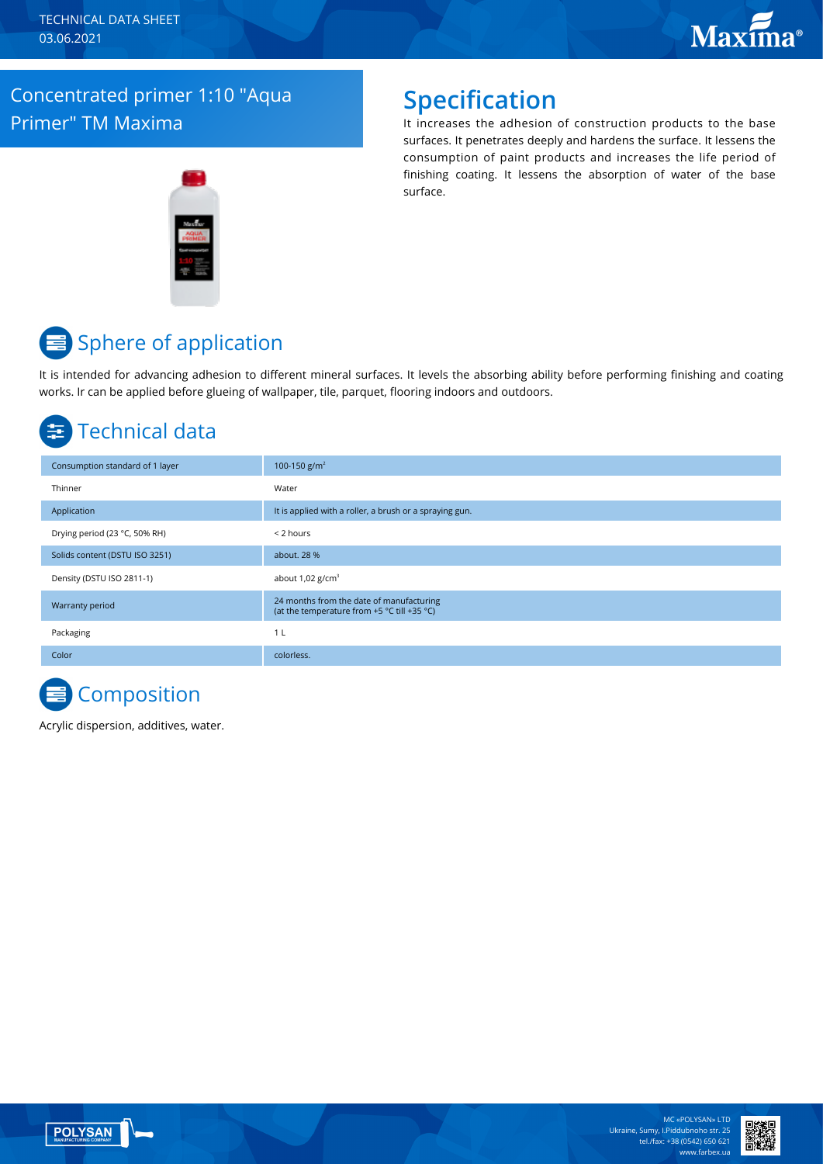#### Concentrated primer 1:10 "Aqua Primer" TM Maxima

### **Specification**

It increases the adhesion of construction products to the base surfaces. It penetrates deeply and hardens the surface. It lessens the consumption of paint products and increases the life period of finishing coating. It lessens the absorption of water of the base surface.

# **■** Sphere of application

It is intended for advancing adhesion to different mineral surfaces. It levels the absorbing ability before performing finishing and coating works. Ir can be applied before glueing of wallpaper, tile, parquet, flooring indoors and outdoors.

## Technical data

| Consumption standard of 1 layer | 100-150 g/m <sup>2</sup>                                                                |
|---------------------------------|-----------------------------------------------------------------------------------------|
| Thinner                         | Water                                                                                   |
| Application                     | It is applied with a roller, a brush or a spraying gun.                                 |
| Drying period (23 °C, 50% RH)   | < 2 hours                                                                               |
| Solids content (DSTU ISO 3251)  | about. 28 %                                                                             |
| Density (DSTU ISO 2811-1)       | about $1,02$ g/cm <sup>3</sup>                                                          |
| <b>Warranty period</b>          | 24 months from the date of manufacturing<br>(at the temperature from +5 °C till +35 °C) |
| Packaging                       | 1 L                                                                                     |
| Color                           | colorless.                                                                              |

# **Composition**

Acrylic dispersion, additives, water.